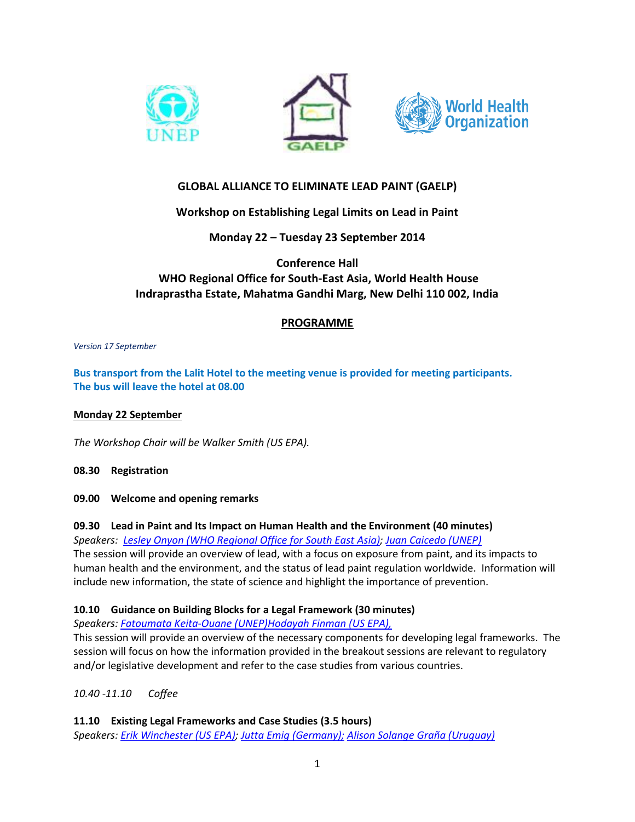





# **GLOBAL ALLIANCE TO ELIMINATE LEAD PAINT (GAELP)**

# **Workshop on Establishing Legal Limits on Lead in Paint**

**Monday 22 – Tuesday 23 September 2014**

**Conference Hall WHO Regional Office for South-East Asia, World Health House Indraprastha Estate, Mahatma Gandhi Marg, New Delhi 110 002, India**

# **PROGRAMME**

*Version 17 September*

**Bus transport from the Lalit Hotel to the meeting venue is provided for meeting participants. The bus will leave the hotel at 08.00**

### **Monday 22 September**

*The Workshop Chair will be Walker Smith (US EPA).*

**08.30 Registration**

**09.00 Welcome and opening remarks**

# **09.30 Lead in Paint and Its Impact on Human Health and the Environment (40 minutes)**

*Speakers: Lesley Onyon (WHO [Regional Office for South East Asia\);](http://www.unep.org/chemicalsandwaste/Portals/9/Lead_Cadmium/docs/GAELP/3rd%20GAELP%20Meeting/1.%20Human_Health_Tempowski.pdf) [Juan Caicedo](http://www.unep.org/chemicalsandwaste/Portals/9/Lead_Cadmium/docs/GAELP/3rd%20GAELP%20Meeting/2.%20Environmental%20impacts_UNEP.pdf) (UNEP)*

The session will provide an overview of lead, with a focus on exposure from paint, and its impacts to human health and the environment, and the status of lead paint regulation worldwide. Information will include new information, the state of science and highlight the importance of prevention.

# **10.10 Guidance on Building Blocks for a Legal Framework (30 minutes)**

*Speakers: [Fatoumata Keita-Ouane \(UNEP\)Hodayah Finman](http://www.unep.org/chemicalsandwaste/Portals/9/Lead_Cadmium/docs/GAELP/3rd%20GAELP%20Meeting/3.%20BuildingBlocks_UNEP_USEPA.pdf) (US EPA),*

This session will provide an overview of the necessary components for developing legal frameworks. The session will focus on how the information provided in the breakout sessions are relevant to regulatory and/or legislative development and refer to the case studies from various countries.

*10.40 -11.10 Coffee*

**11.10 Existing Legal Frameworks and Case Studies (3.5 hours)**

*Speakers: [Erik Winchester \(US EPA\);](http://www.unep.org/chemicalsandwaste/Portals/9/Lead_Cadmium/docs/GAELP/3rd%20GAELP%20Meeting/5.%20US%20Case%20Study.pdf) [Jutta Emig \(Germany\);](http://www.unep.org/chemicalsandwaste/Portals/9/Lead_Cadmium/docs/GAELP/3rd%20GAELP%20Meeting/6.Germany_case%20Study.pdf) [Alison Solange Graña \(Uruguay\)](http://www.unep.org/chemicalsandwaste/Portals/9/Lead_Cadmium/docs/GAELP/3rd%20GAELP%20Meeting/4.%20Uruguay%20_%20case%20study.pdf)*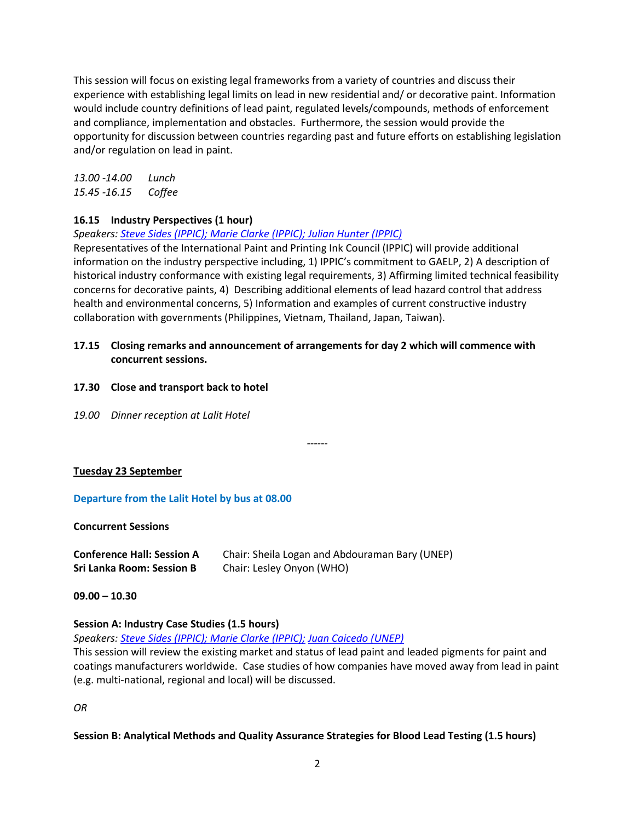This session will focus on existing legal frameworks from a variety of countries and discuss their experience with establishing legal limits on lead in new residential and/ or decorative paint. Information would include country definitions of lead paint, regulated levels/compounds, methods of enforcement and compliance, implementation and obstacles. Furthermore, the session would provide the opportunity for discussion between countries regarding past and future efforts on establishing legislation and/or regulation on lead in paint.

*13.00 -14.00 Lunch 15.45 -16.15 Coffee*

# **16.15 Industry Perspectives (1 hour)**

*Speakers: [Steve Sides \(IPPIC\); Marie Clarke \(IPPIC\); Julian Hunter \(IPPIC\)](http://www.unep.org/chemicalsandwaste/Portals/9/Lead_Cadmium/docs/GAELP/3rd%20GAELP%20Meeting/8.Industry%20Perspectives%20on%20the%20Elimination%20of%20Lead%20Paint_Marie%20Clarke.pdf)*

Representatives of the International Paint and Printing Ink Council (IPPIC) will provide additional information on the industry perspective including, 1) IPPIC's commitment to GAELP, 2) A description of historical industry conformance with existing legal requirements, 3) Affirming limited technical feasibility concerns for decorative paints, 4) Describing additional elements of lead hazard control that address health and environmental concerns, 5) Information and examples of current constructive industry collaboration with governments (Philippines, Vietnam, Thailand, Japan, Taiwan).

- **17.15 Closing remarks and announcement of arrangements for day 2 which will commence with concurrent sessions.**
- **17.30 Close and transport back to hotel**
- *19.00 Dinner reception at Lalit Hotel*

*------*

# **Tuesday 23 September**

# **Departure from the Lalit Hotel by bus at 08.00**

#### **Concurrent Sessions**

| <b>Conference Hall: Session A</b> | Chair: Sheila Logan and Abdouraman Bary (UNEP) |
|-----------------------------------|------------------------------------------------|
| <b>Sri Lanka Room: Session B</b>  | Chair: Lesley Onyon (WHO)                      |

**09.00 – 10.30**

# **Session A: Industry Case Studies (1.5 hours)**

*Speakers: [Steve Sides \(IPPIC\); Marie Clarke \(IPPIC\);](http://www.unep.org/chemicalsandwaste/Portals/9/Lead_Cadmium/docs/GAELP/3rd%20GAELP%20Meeting/2.%20Industry%20case%20studies_IPPIC.pdf) [Juan Caicedo \(UNEP\)](http://www.unep.org/chemicalsandwaste/Portals/9/Lead_Cadmium/docs/GAELP/3rd%20GAELP%20Meeting/1.Industry%20case%20studies_UNEP.pdf)*

This session will review the existing market and status of lead paint and leaded pigments for paint and coatings manufacturers worldwide. Case studies of how companies have moved away from lead in paint (e.g. multi-national, regional and local) will be discussed.

*OR*

# **Session B: Analytical Methods and Quality Assurance Strategies for Blood Lead Testing (1.5 hours)**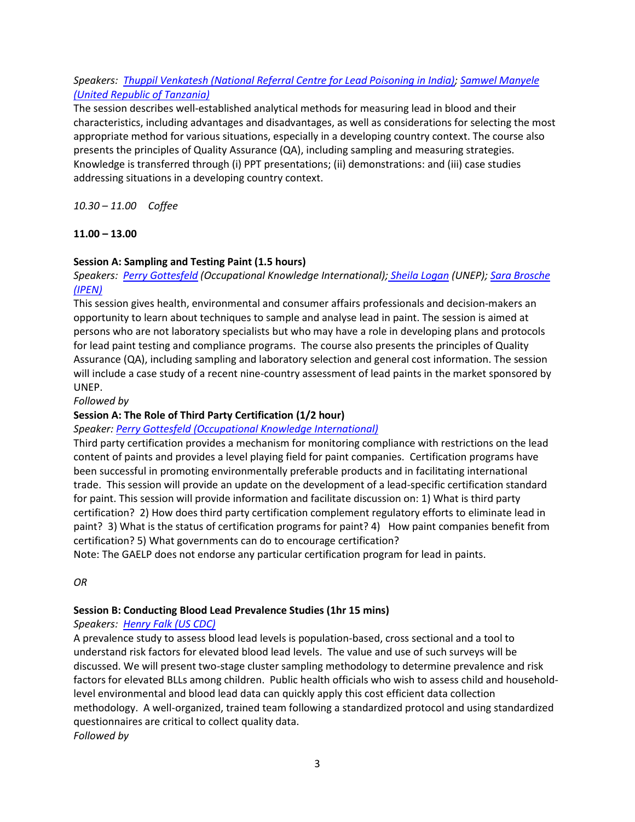# *Speakers: [Thuppil Venkatesh \(National Referral Centre for Lead Poisoning in India\);](http://www.unep.org/chemicalsandwaste/Portals/9/Lead_Cadmium/docs/GAELP/3rd%20GAELP%20Meeting/1.%20Blood-Lead-%20Venkatesh.pdf) [Samwel Manyele](http://www.unep.org/chemicalsandwaste/Portals/9/Lead_Cadmium/docs/GAELP/3rd%20GAELP%20Meeting/2.%20Blood_Lead%20Manyele.pdf)  [\(United Republic of Tanzania\)](http://www.unep.org/chemicalsandwaste/Portals/9/Lead_Cadmium/docs/GAELP/3rd%20GAELP%20Meeting/2.%20Blood_Lead%20Manyele.pdf)*

The session describes well-established analytical methods for measuring lead in blood and their characteristics, including advantages and disadvantages, as well as considerations for selecting the most appropriate method for various situations, especially in a developing country context. The course also presents the principles of Quality Assurance (QA), including sampling and measuring strategies. Knowledge is transferred through (i) PPT presentations; (ii) demonstrations: and (iii) case studies addressing situations in a developing country context.

*10.30 – 11.00 Coffee*

# **11.00 – 13.00**

# **Session A: Sampling and Testing Paint (1.5 hours)**

*Speakers: [Perry Gottesfeld](http://www.unep.org/chemicalsandwaste/Portals/9/Lead_Cadmium/docs/GAELP/3rd%20GAELP%20Meeting/3.%20Teszting%20paint_Gottesfeld.pdf) (Occupational Knowledge International); [Sheila Logan](http://www.unep.org/chemicalsandwaste/Portals/9/Lead_Cadmium/docs/GAELP/3rd%20GAELP%20Meeting/1a_UNEP%20paint%20testing%20results.pdf) (UNEP); [Sara Brosche](http://www.unep.org/chemicalsandwaste/Portals/9/Lead_Cadmium/docs/GAELP/3rd%20GAELP%20Meeting/5.%20IPEN%20Asian%20Paint%20elimination.pdf)  [\(IPEN\)](http://www.unep.org/chemicalsandwaste/Portals/9/Lead_Cadmium/docs/GAELP/3rd%20GAELP%20Meeting/5.%20IPEN%20Asian%20Paint%20elimination.pdf)*

This session gives health, environmental and consumer affairs professionals and decision-makers an opportunity to learn about techniques to sample and analyse lead in paint. The session is aimed at persons who are not laboratory specialists but who may have a role in developing plans and protocols for lead paint testing and compliance programs. The course also presents the principles of Quality Assurance (QA), including sampling and laboratory selection and general cost information. The session will include a case study of a recent nine-country assessment of lead paints in the market sponsored by UNEP.

*Followed by*

# **Session A: The Role of Third Party Certification (1/2 hour)**

# *Speaker: [Perry Gottesfeld \(Occupational Knowledge International\)](http://www.unep.org/chemicalsandwaste/Portals/9/Lead_Cadmium/docs/GAELP/3rd%20GAELP%20Meeting/4.%20Third%20party%20certification_Gottesfeld.pdf)*

Third party certification provides a mechanism for monitoring compliance with restrictions on the lead content of paints and provides a level playing field for paint companies. Certification programs have been successful in promoting environmentally preferable products and in facilitating international trade. This session will provide an update on the development of a lead-specific certification standard for paint. This session will provide information and facilitate discussion on: 1) What is third party certification? 2) How does third party certification complement regulatory efforts to eliminate lead in paint? 3) What is the status of certification programs for paint? 4) How paint companies benefit from certification? 5) What governments can do to encourage certification?

Note: The GAELP does not endorse any particular certification program for lead in paints.

*OR*

# **Session B: Conducting Blood Lead Prevalence Studies (1hr 15 mins)**

# *Speakers: [Henry Falk \(US CDC\)](http://www.unep.org/chemicalsandwaste/Portals/9/Lead_Cadmium/docs/GAELP/3rd%20GAELP%20Meeting/3.Falk%20Blood%20Lead%20prevalence.pdf)*

A prevalence study to assess blood lead levels is population-based, cross sectional and a tool to understand risk factors for elevated blood lead levels. The value and use of such surveys will be discussed. We will present two-stage cluster sampling methodology to determine prevalence and risk factors for elevated BLLs among children. Public health officials who wish to assess child and householdlevel environmental and blood lead data can quickly apply this cost efficient data collection methodology. A well-organized, trained team following a standardized protocol and using standardized questionnaires are critical to collect quality data. *Followed by*